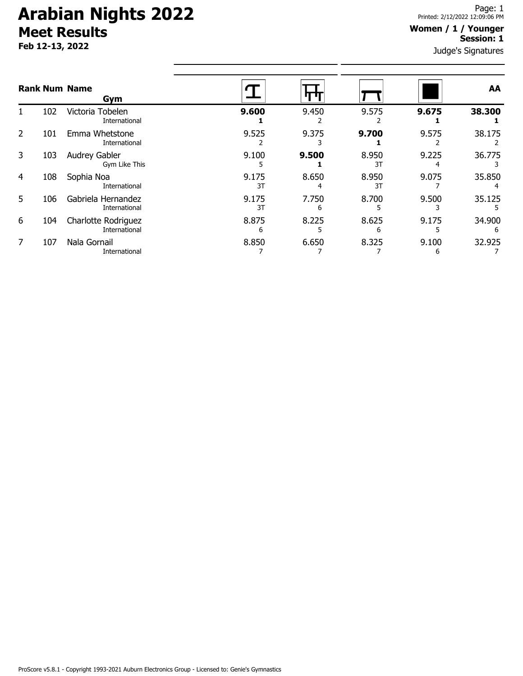# **Arabian Nights 2022 Meet Results**

**Feb 12-13, 2022**

#### **Women / 1 / Younger Session: 1**

Judge's Signatures

|   |     | <b>Rank Num Name</b><br>Gym                 |             |            |             |            | AA          |
|---|-----|---------------------------------------------|-------------|------------|-------------|------------|-------------|
|   | 102 | Victoria Tobelen<br>International           | 9.600       | 9.450      | 9.575       | 9.675      | 38.300      |
| 2 | 101 | Emma Whetstone<br>International             | 9.525       | 9.375      | 9.700       | 9.575      | 38.175      |
| 3 | 103 | Audrey Gabler<br>Gym Like This              | 9.100       | 9.500      | 8.950<br>3T | 9.225      | 36.775      |
| 4 | 108 | Sophia Noa<br>International                 | 9.175<br>3T | 8.650<br>4 | 8.950<br>3T | 9.075      | 35.850      |
| 5 | 106 | Gabriela Hernandez<br>International         | 9.175<br>3T | 7.750<br>6 | 8.700       | 9.500      | 35.125      |
| 6 | 104 | <b>Charlotte Rodriguez</b><br>International | 8.875<br>6  | 8.225      | 8.625<br>6  | 9.175      | 34.900<br>6 |
|   | 107 | Nala Gornail<br>International               | 8.850       | 6.650      | 8.325       | 9.100<br>6 | 32.925      |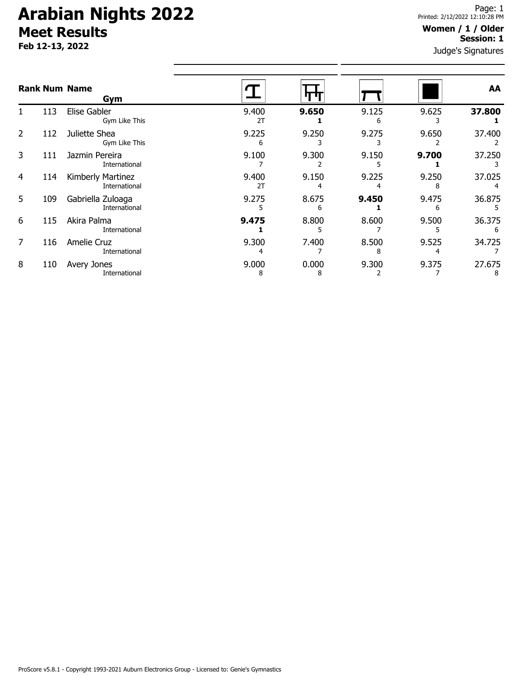# **Arabian Nights 2022 Meet Results**

**Feb 12-13, 2022**

### **Women / 1 / Older Session: 1**

Judge's Signatures

| <b>Rank Num Name</b> |     | Gym                                |             |            |            |            | AA          |
|----------------------|-----|------------------------------------|-------------|------------|------------|------------|-------------|
|                      | 113 | Elise Gabler<br>Gym Like This      | 9.400<br>2T | 9.650      | 9.125<br>6 | 9.625      | 37.800      |
| $\overline{2}$       | 112 | Juliette Shea<br>Gym Like This     | 9.225<br>6  | 9.250<br>3 | 9.275      | 9.650      | 37.400      |
| 3                    | 111 | Jazmin Pereira<br>International    | 9.100       | 9.300      | 9.150      | 9.700      | 37.250      |
| $\overline{4}$       | 114 | Kimberly Martinez<br>International | 9.400<br>2T | 9.150      | 9.225      | 9.250<br>8 | 37.025      |
| 5                    | 109 | Gabriella Zuloaga<br>International | 9.275       | 8.675<br>6 | 9.450      | 9.475<br>ь | 36.875      |
| 6                    | 115 | Akira Palma<br>International       | 9.475       | 8.800<br>5 | 8.600      | 9.500      | 36.375<br>6 |
| $\overline{7}$       | 116 | Amelie Cruz<br>International       | 9.300       | 7.400      | 8.500<br>8 | 9.525      | 34.725      |
| 8                    | 110 | Avery Jones<br>International       | 9.000<br>8  | 0.000<br>8 | 9.300      | 9.375      | 27.675<br>8 |